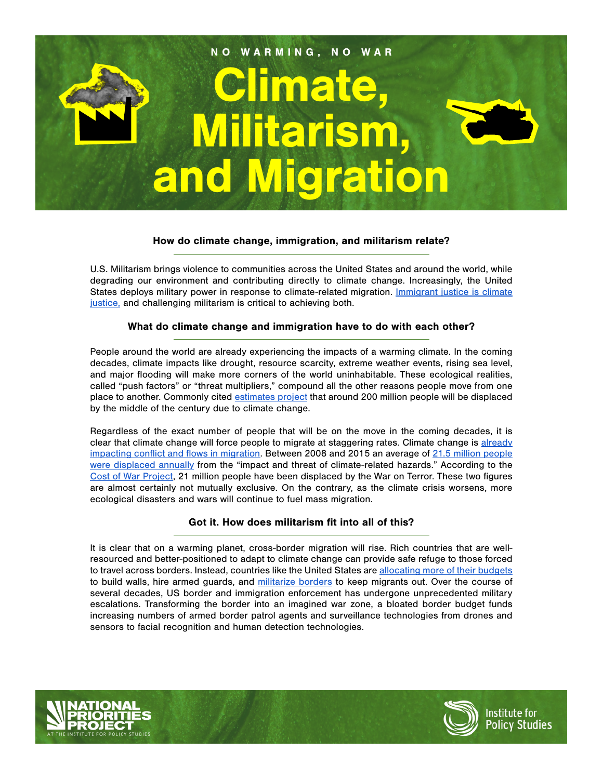

## How do climate change, immigration, and militarism relate?

U.S. Militarism brings violence to communities across the United States and around the world, while degrading our environment and contributing directly to climate change. Increasingly, the United States deploys military power in response to climate-related migration. **[Immigrant justice is climate](https://theleap.org/portfolio-items/climate-migration-briefing/)** [justice,](https://theleap.org/portfolio-items/climate-migration-briefing/) and challenging militarism is critical to achieving both.

#### What do climate change and immigration have to do with each other?

People around the world are already experiencing the impacts of a warming climate. In the coming decades, climate impacts like drought, resource scarcity, extreme weather events, rising sea level, and major flooding will make more corners of the world uninhabitable. These ecological realities, called "push factors" or "threat multipliers," compound all the other reasons people move from one place to another. Commonly cited [estimates project t](https://publications.iom.int/books/mrs-ndeg31-migration-and-climate-change)hat around 200 million people will be displaced by the middle of the century due to climate change.

Regardless of the exact number of people that will be on the move in the coming decades, it is clear that climate change will force people to migrate at staggering rates. Climate change is [already](https://www.sciencedirect.com/science/article/pii/S0959378018301596?via%3Dihub) [impacting conflict and flows in migration](https://www.sciencedirect.com/science/article/pii/S0959378018301596?via%3Dihub). Between 2008 and 2015 an average of [21.5 million people](https://www.internal-displacement.org/sites/default/files/publications/documents/2016-global-report-internal-displacement-IDMC.pdf) [were displaced annually](https://www.internal-displacement.org/sites/default/files/publications/documents/2016-global-report-internal-displacement-IDMC.pdf) from the "impact and threat of climate-related hazards." According to the [Cost of War Project,](https://watson.brown.edu/costsofwar/papers/summary) 21 million people have been displaced by the War on Terror. These two figures are almost certainly not mutually exclusive. On the contrary, as the climate crisis worsens, more ecological disasters and wars will continue to fuel mass migration.

## Got it. How does militarism fit into all of this?

It is clear that on a warming planet, cross-border migration will rise. Rich countries that are wellresourced and better-positioned to adapt to climate change can provide safe refuge to those forced to travel across borders. Instead, countries like the United States are [allocating more of their budgets](https://www.tni.org/en/morethanawall) to build walls, hire armed guards, and [militarize borders](https://nacla.org/blog/2019/01/17/militarization-southern-border-long-standing-american-tradition) to keep migrants out. Over the course of several decades, US border and immigration enforcement has undergone unprecedented military escalations. Transforming the border into an imagined war zone, a bloated border budget funds increasing numbers of armed border patrol agents and surveillance technologies from drones and sensors to facial recognition and human detection technologies.